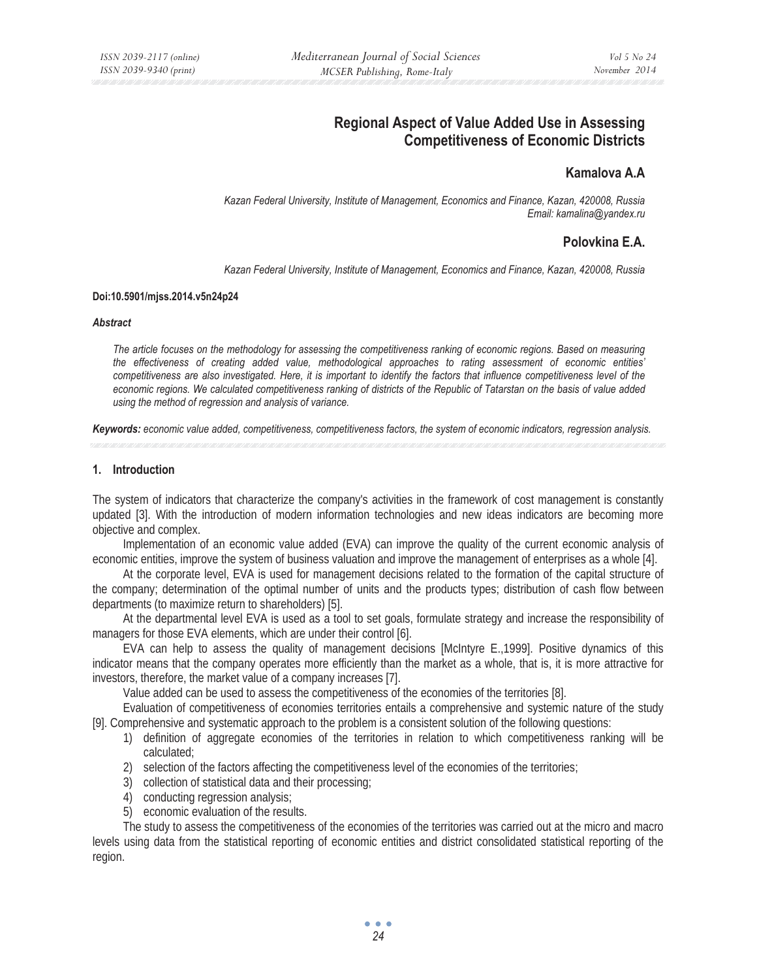# **Regional Aspect of Value Added Use in Assessing Competitiveness of Economic Districts**

## **Kamalova A.A**

*Kazan Federal University, Institute of Management, Economics and Finance, Kazan, 420008, Russia Email: kamalina@yandex.ru* 

## **Polovkina E.A.**

*Kazan Federal University, Institute of Management, Economics and Finance, Kazan, 420008, Russia* 

## **Doi:10.5901/mjss.2014.v5n24p24**

#### *Abstract*

*The article focuses on the methodology for assessing the competitiveness ranking of economic regions. Based on measuring the effectiveness of creating added value, methodological approaches to rating assessment of economic entities' competitiveness are also investigated. Here, it is important to identify the factors that influence competitiveness level of the economic regions. We calculated competitiveness ranking of districts of the Republic of Tatarstan on the basis of value added using the method of regression and analysis of variance.* 

*Keywords: economic value added, competitiveness, competitiveness factors, the system of economic indicators, regression analysis.* 

## **1. Introduction**

The system of indicators that characterize the company's activities in the framework of cost management is constantly updated [3]. With the introduction of modern information technologies and new ideas indicators are becoming more objective and complex.

Implementation of an economic value added (EVA) can improve the quality of the current economic analysis of economic entities, improve the system of business valuation and improve the management of enterprises as a whole [4].

At the corporate level, EVA is used for management decisions related to the formation of the capital structure of the company; determination of the optimal number of units and the products types; distribution of cash flow between departments (to maximize return to shareholders) [5].

At the departmental level EVA is used as a tool to set goals, formulate strategy and increase the responsibility of managers for those EVA elements, which are under their control [6].

EVA can help to assess the quality of management decisions [McIntyre E.,1999]. Positive dynamics of this indicator means that the company operates more efficiently than the market as a whole, that is, it is more attractive for investors, therefore, the market value of a company increases [7].

Value added can be used to assess the competitiveness of the economies of the territories [8].

Evaluation of competitiveness of economies territories entails a comprehensive and systemic nature of the study [9]. Comprehensive and systematic approach to the problem is a consistent solution of the following questions:

- 1) definition of aggregate economies of the territories in relation to which competitiveness ranking will be calculated;
- 2) selection of the factors affecting the competitiveness level of the economies of the territories;
- 3) collection of statistical data and their processing;
- 4) conducting regression analysis;
- 5) economic evaluation of the results.

The study to assess the competitiveness of the economies of the territories was carried out at the micro and macro levels using data from the statistical reporting of economic entities and district consolidated statistical reporting of the region.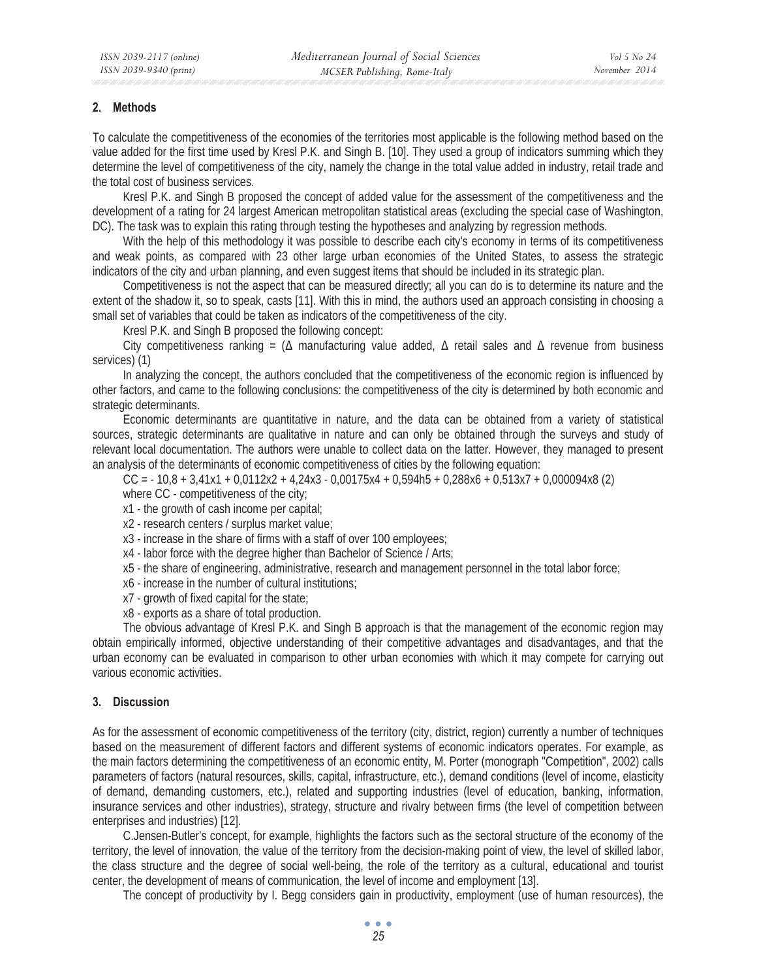## **2. Methods**

To calculate the competitiveness of the economies of the territories most applicable is the following method based on the value added for the first time used by Kresl P.K. and Singh B. [10]. They used a group of indicators summing which they determine the level of competitiveness of the city, namely the change in the total value added in industry, retail trade and the total cost of business services.

Kresl P.K. and Singh B proposed the concept of added value for the assessment of the competitiveness and the development of a rating for 24 largest American metropolitan statistical areas (excluding the special case of Washington, DC). The task was to explain this rating through testing the hypotheses and analyzing by regression methods.

With the help of this methodology it was possible to describe each city's economy in terms of its competitiveness and weak points, as compared with 23 other large urban economies of the United States, to assess the strategic indicators of the city and urban planning, and even suggest items that should be included in its strategic plan.

Competitiveness is not the aspect that can be measured directly; all you can do is to determine its nature and the extent of the shadow it, so to speak, casts [11]. With this in mind, the authors used an approach consisting in choosing a small set of variables that could be taken as indicators of the competitiveness of the city.

Kresl P.K. and Singh B proposed the following concept:

City competitiveness ranking =  $(\Delta$  manufacturing value added,  $\Delta$  retail sales and  $\Delta$  revenue from business services) (1)

In analyzing the concept, the authors concluded that the competitiveness of the economic region is influenced by other factors, and came to the following conclusions: the competitiveness of the city is determined by both economic and strategic determinants.

Economic determinants are quantitative in nature, and the data can be obtained from a variety of statistical sources, strategic determinants are qualitative in nature and can only be obtained through the surveys and study of relevant local documentation. The authors were unable to collect data on the latter. However, they managed to present an analysis of the determinants of economic competitiveness of cities by the following equation:

 $CC = -10,8 + 3,41x1 + 0,0112x2 + 4,24x3 - 0,00175x4 + 0,594h5 + 0,288x6 + 0,513x7 + 0,000094x8$  (2) where CC - competitiveness of the city;

- x1 the growth of cash income per capital;
- x2 research centers / surplus market value;
- x3 increase in the share of firms with a staff of over 100 employees;
- x4 labor force with the degree higher than Bachelor of Science / Arts;
- x5 the share of engineering, administrative, research and management personnel in the total labor force;
- x6 increase in the number of cultural institutions;
- x7 growth of fixed capital for the state;
- x8 exports as a share of total production.

The obvious advantage of Kresl P.K. and Singh B approach is that the management of the economic region may obtain empirically informed, objective understanding of their competitive advantages and disadvantages, and that the urban economy can be evaluated in comparison to other urban economies with which it may compete for carrying out various economic activities.

## **3. Discussion**

As for the assessment of economic competitiveness of the territory (city, district, region) currently a number of techniques based on the measurement of different factors and different systems of economic indicators operates. For example, as the main factors determining the competitiveness of an economic entity, M. Porter (monograph "Competition", 2002) calls parameters of factors (natural resources, skills, capital, infrastructure, etc.), demand conditions (level of income, elasticity of demand, demanding customers, etc.), related and supporting industries (level of education, banking, information, insurance services and other industries), strategy, structure and rivalry between firms (the level of competition between enterprises and industries) [12].

C.Jensen-Butler's concept, for example, highlights the factors such as the sectoral structure of the economy of the territory, the level of innovation, the value of the territory from the decision-making point of view, the level of skilled labor, the class structure and the degree of social well-being, the role of the territory as a cultural, educational and tourist center, the development of means of communication, the level of income and employment [13].

The concept of productivity by I. Begg considers gain in productivity, employment (use of human resources), the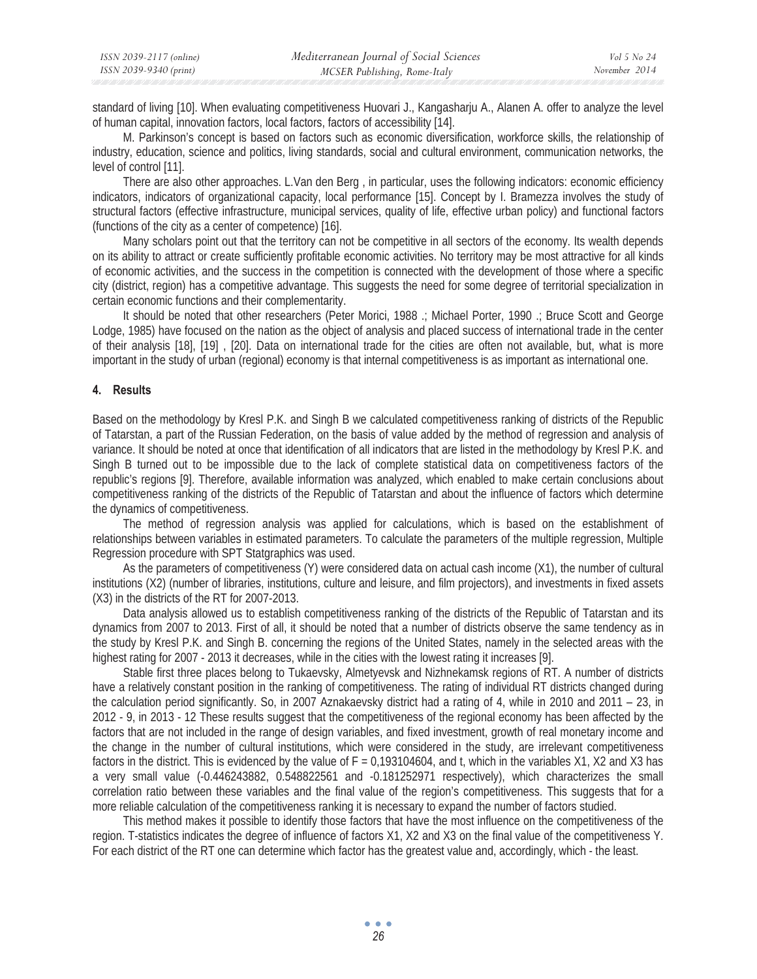standard of living [10]. When evaluating competitiveness Huovari J., Kangasharju A., Alanen A. offer to analyze the level of human capital, innovation factors, local factors, factors of accessibility [14].

M. Parkinson's concept is based on factors such as economic diversification, workforce skills, the relationship of industry, education, science and politics, living standards, social and cultural environment, communication networks, the level of control [11].

There are also other approaches. L.Van den Berg , in particular, uses the following indicators: economic efficiency indicators, indicators of organizational capacity, local performance [15]. Concept by I. Bramezza involves the study of structural factors (effective infrastructure, municipal services, quality of life, effective urban policy) and functional factors (functions of the city as a center of competence) [16].

Many scholars point out that the territory can not be competitive in all sectors of the economy. Its wealth depends on its ability to attract or create sufficiently profitable economic activities. No territory may be most attractive for all kinds of economic activities, and the success in the competition is connected with the development of those where a specific city (district, region) has a competitive advantage. This suggests the need for some degree of territorial specialization in certain economic functions and their complementarity.

It should be noted that other researchers (Peter Morici, 1988 .; Michael Porter, 1990 .; Bruce Scott and George Lodge, 1985) have focused on the nation as the object of analysis and placed success of international trade in the center of their analysis [18], [19] , [20]. Data on international trade for the cities are often not available, but, what is more important in the study of urban (regional) economy is that internal competitiveness is as important as international one.

#### **4. Results**

Based on the methodology by Kresl P.K. and Singh B we calculated competitiveness ranking of districts of the Republic of Tatarstan, a part of the Russian Federation, on the basis of value added by the method of regression and analysis of variance. It should be noted at once that identification of all indicators that are listed in the methodology by Kresl P.K. and Singh B turned out to be impossible due to the lack of complete statistical data on competitiveness factors of the republic's regions [9]. Therefore, available information was analyzed, which enabled to make certain conclusions about competitiveness ranking of the districts of the Republic of Tatarstan and about the influence of factors which determine the dynamics of competitiveness.

The method of regression analysis was applied for calculations, which is based on the establishment of relationships between variables in estimated parameters. To calculate the parameters of the multiple regression, Multiple Regression procedure with SPT Statgraphics was used.

As the parameters of competitiveness (Y) were considered data on actual cash income (X1), the number of cultural institutions (X2) (number of libraries, institutions, culture and leisure, and film projectors), and investments in fixed assets (X3) in the districts of the RT for 2007-2013.

Data analysis allowed us to establish competitiveness ranking of the districts of the Republic of Tatarstan and its dynamics from 2007 to 2013. First of all, it should be noted that a number of districts observe the same tendency as in the study by Kresl P.K. and Singh B. concerning the regions of the United States, namely in the selected areas with the highest rating for 2007 - 2013 it decreases, while in the cities with the lowest rating it increases [9].

Stable first three places belong to Tukaevsky, Almetyevsk and Nizhnekamsk regions of RT. A number of districts have a relatively constant position in the ranking of competitiveness. The rating of individual RT districts changed during the calculation period significantly. So, in 2007 Aznakaevsky district had a rating of 4, while in 2010 and 2011 – 23, in 2012 - 9, in 2013 - 12 These results suggest that the competitiveness of the regional economy has been affected by the factors that are not included in the range of design variables, and fixed investment, growth of real monetary income and the change in the number of cultural institutions, which were considered in the study, are irrelevant competitiveness factors in the district. This is evidenced by the value of  $F = 0.193104604$ , and t, which in the variables X1, X2 and X3 has a very small value (-0.446243882, 0.548822561 and -0.181252971 respectively), which characterizes the small correlation ratio between these variables and the final value of the region's competitiveness. This suggests that for a more reliable calculation of the competitiveness ranking it is necessary to expand the number of factors studied.

This method makes it possible to identify those factors that have the most influence on the competitiveness of the region. T-statistics indicates the degree of influence of factors X1, X2 and X3 on the final value of the competitiveness Y. For each district of the RT one can determine which factor has the greatest value and, accordingly, which - the least.